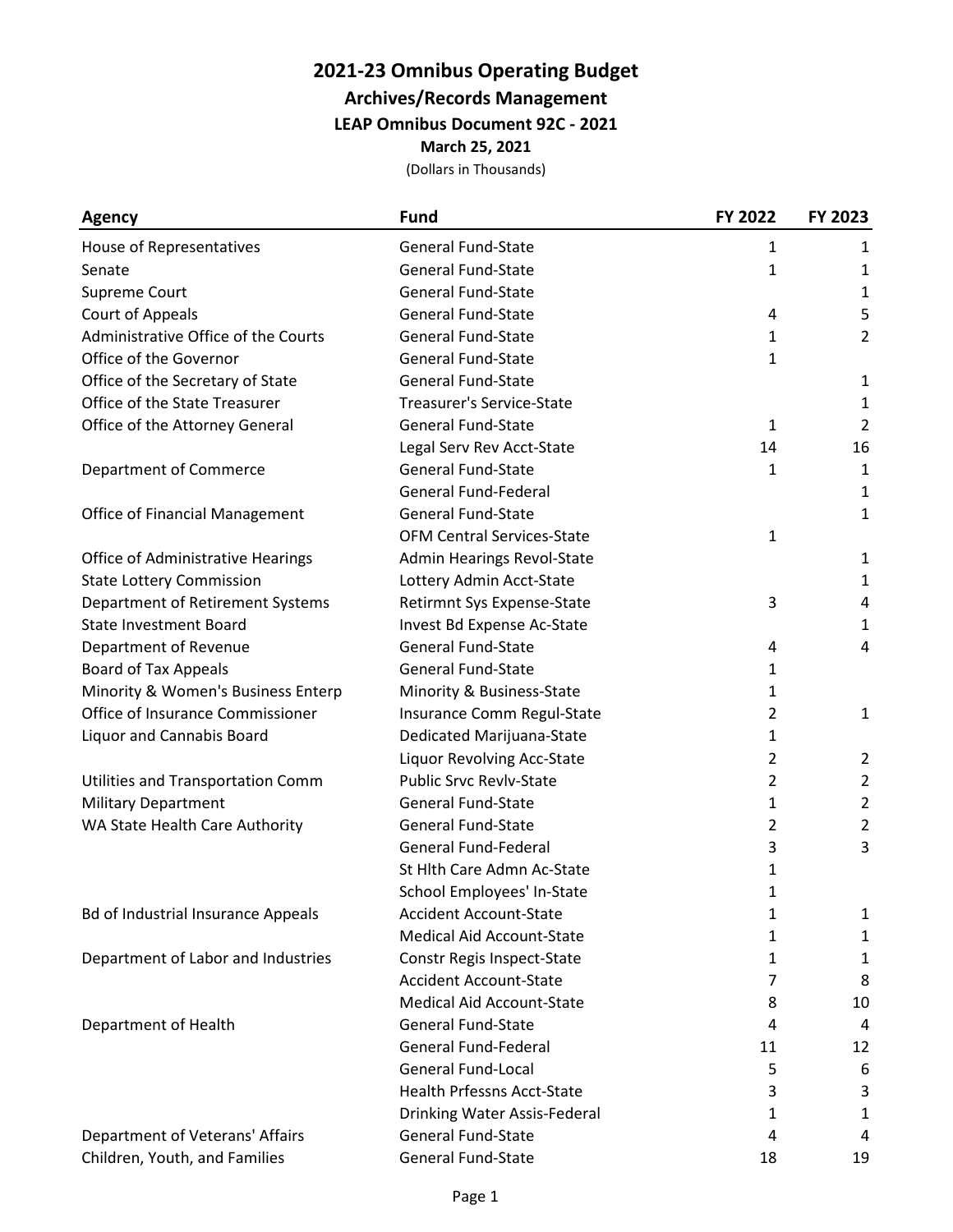## **2021-23 Omnibus Operating Budget**

**Archives/Records Management**

**LEAP Omnibus Document 92C - 2021**

**March 25, 2021**

(Dollars in Thousands)

| <b>Agency</b>                             | <b>Fund</b>                       | FY 2022        | FY 2023        |
|-------------------------------------------|-----------------------------------|----------------|----------------|
| House of Representatives                  | <b>General Fund-State</b>         | 1              | 1              |
| Senate                                    | <b>General Fund-State</b>         | 1              | 1              |
| Supreme Court                             | <b>General Fund-State</b>         |                | 1              |
| Court of Appeals                          | <b>General Fund-State</b>         | 4              | 5              |
| Administrative Office of the Courts       | General Fund-State                | 1              | 2              |
| Office of the Governor                    | <b>General Fund-State</b>         | 1              |                |
| Office of the Secretary of State          | <b>General Fund-State</b>         |                | 1              |
| Office of the State Treasurer             | <b>Treasurer's Service-State</b>  |                | $\mathbf 1$    |
| Office of the Attorney General            | <b>General Fund-State</b>         | 1              | $\overline{2}$ |
|                                           | Legal Serv Rev Acct-State         | 14             | 16             |
| Department of Commerce                    | <b>General Fund-State</b>         | 1              | $\mathbf{1}$   |
|                                           | <b>General Fund-Federal</b>       |                | 1              |
| <b>Office of Financial Management</b>     | <b>General Fund-State</b>         |                | 1              |
|                                           | <b>OFM Central Services-State</b> | 1              |                |
| Office of Administrative Hearings         | Admin Hearings Revol-State        |                | $\mathbf{1}$   |
| <b>State Lottery Commission</b>           | Lottery Admin Acct-State          |                | $\mathbf{1}$   |
| Department of Retirement Systems          | Retirmnt Sys Expense-State        | 3              | 4              |
| <b>State Investment Board</b>             | Invest Bd Expense Ac-State        |                | 1              |
| Department of Revenue                     | <b>General Fund-State</b>         | 4              | 4              |
| <b>Board of Tax Appeals</b>               | General Fund-State                | 1              |                |
| Minority & Women's Business Enterp        | Minority & Business-State         | 1              |                |
| Office of Insurance Commissioner          | Insurance Comm Regul-State        | $\overline{2}$ | $\mathbf{1}$   |
| Liquor and Cannabis Board                 | Dedicated Marijuana-State         | 1              |                |
|                                           | Liquor Revolving Acc-State        | $\overline{2}$ | $\overline{2}$ |
| Utilities and Transportation Comm         | <b>Public Srvc Revlv-State</b>    | $\overline{2}$ | $\overline{2}$ |
| <b>Military Department</b>                | <b>General Fund-State</b>         | 1              | $\overline{2}$ |
| WA State Health Care Authority            | <b>General Fund-State</b>         | $\overline{2}$ | 2              |
|                                           | <b>General Fund-Federal</b>       | 3              | 3              |
|                                           | St Hlth Care Admn Ac-State        | 1              |                |
|                                           | School Employees' In-State        | 1              |                |
| <b>Bd of Industrial Insurance Appeals</b> | <b>Accident Account-State</b>     | 1              | $\mathbf{1}$   |
|                                           | <b>Medical Aid Account-State</b>  | 1              | 1              |
| Department of Labor and Industries        | Constr Regis Inspect-State        | 1              | $\mathbf{1}$   |
|                                           | <b>Accident Account-State</b>     | 7              | 8              |
|                                           | <b>Medical Aid Account-State</b>  | 8              | 10             |
| Department of Health                      | <b>General Fund-State</b>         | 4              | 4              |
|                                           | <b>General Fund-Federal</b>       | 11             | 12             |
|                                           | <b>General Fund-Local</b>         | 5              | 6              |
|                                           | <b>Health Prfessns Acct-State</b> | 3              | 3              |
|                                           | Drinking Water Assis-Federal      | 1              | 1              |
| Department of Veterans' Affairs           | <b>General Fund-State</b>         | 4              | 4              |
| Children, Youth, and Families             | <b>General Fund-State</b>         | 18             | 19             |